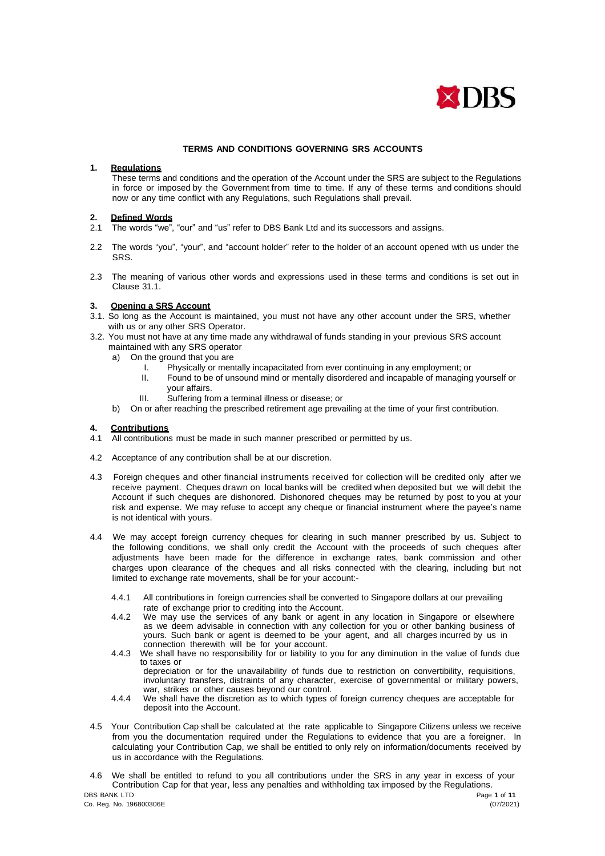

#### **TERMS AND CONDITIONS GOVERNING SRS ACCOUNTS**

#### **1. Regulations**

These terms and conditions and the operation of the Account under the SRS are subject to the Regulations in force or imposed by the Government from time to time. If any of these terms and conditions should now or any time conflict with any Regulations, such Regulations shall prevail.

# **2. Defined Words**

- The words "we", "our" and "us" refer to DBS Bank Ltd and its successors and assigns.
- 2.2 The words "you", "your", and "account holder" refer to the holder of an account opened with us under the SRS.
- 2.3 The meaning of various other words and expressions used in these terms and conditions is set out in Clause 31.1.

#### **3. Opening a SRS Account**

- 3.1. So long as the Account is maintained, you must not have any other account under the SRS, whether with us or any other SRS Operator.
- 3.2. You must not have at any time made any withdrawal of funds standing in your previous SRS account maintained with any SRS operator
	- a) On the ground that you are
		- I. Physically or mentally incapacitated from ever continuing in any employment; or
		- Found to be of unsound mind or mentally disordered and incapable of managing yourself or your affairs.
		- III. Suffering from a terminal illness or disease; or
	- b) On or after reaching the prescribed retirement age prevailing at the time of your first contribution.

#### **4. Contributions**

- 4.1 All contributions must be made in such manner prescribed or permitted by us.
- 4.2 Acceptance of any contribution shall be at our discretion.
- 4.3 Foreign cheques and other financial instruments received for collection will be credited only after we receive payment. Cheques drawn on local banks will be credited when deposited but we will debit the Account if such cheques are dishonored. Dishonored cheques may be returned by post to you at your risk and expense. We may refuse to accept any cheque or financial instrument where the payee's name is not identical with yours.
- 4.4 We may accept foreign currency cheques for clearing in such manner prescribed by us. Subject to the following conditions, we shall only credit the Account with the proceeds of such cheques after adjustments have been made for the difference in exchange rates, bank commission and other charges upon clearance of the cheques and all risks connected with the clearing, including but not limited to exchange rate movements, shall be for your account:-
	- 4.4.1 All contributions in foreign currencies shall be converted to Singapore dollars at our prevailing rate of exchange prior to crediting into the Account.
	- 4.4.2 We may use the services of any bank or agent in any location in Singapore or elsewhere as we deem advisable in connection with any collection for you or other banking business of yours. Such bank or agent is deemed to be your agent, and all charges incurred by us in connection therewith will be for your account.
	- 4.4.3 We shall have no responsibility for or liability to you for any diminution in the value of funds due to taxes or depreciation or for the unavailability of funds due to restriction on convertibility, requisitions, involuntary transfers, distraints of any character, exercise of governmental or military powers, war, strikes or other causes beyond our control.
	- 4.4.4 We shall have the discretion as to which types of foreign currency cheques are acceptable for deposit into the Account.
- 4.5 Your Contribution Cap shall be calculated at the rate applicable to Singapore Citizens unless we receive from you the documentation required under the Regulations to evidence that you are a foreigner. In calculating your Contribution Cap, we shall be entitled to only rely on information/documents received by us in accordance with the Regulations.
- DBS BANK LTD Page **1** of **11** 4.6 We shall be entitled to refund to you all contributions under the SRS in any year in excess of your Contribution Cap for that year, less any penalties and withholding tax imposed by the Regulations.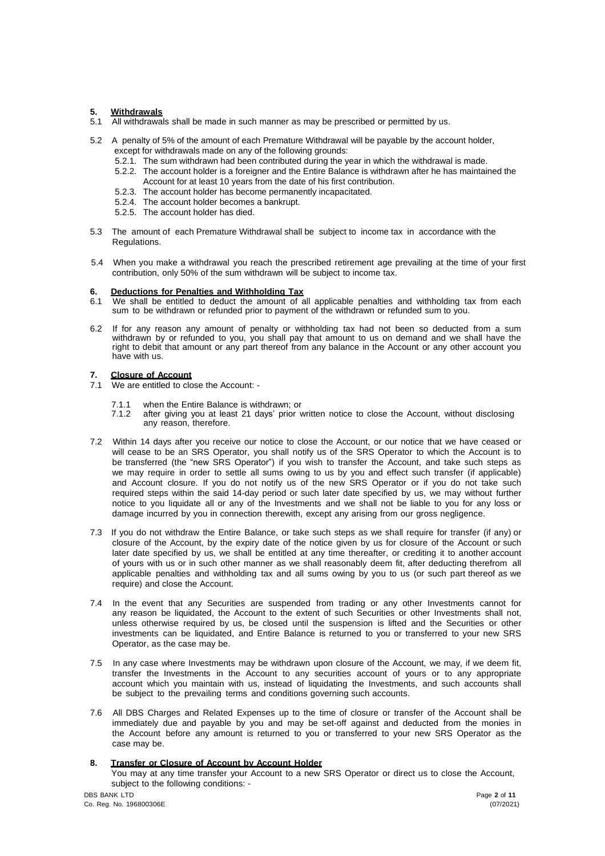## **5. Withdrawals**

- 5.1 All withdrawals shall be made in such manner as may be prescribed or permitted by us.
- 5.2 A penalty of 5% of the amount of each Premature Withdrawal will be payable by the account holder, except for withdrawals made on any of the following grounds:
	- 5.2.1. The sum withdrawn had been contributed during the year in which the withdrawal is made.
	- 5.2.2. The account holder is a foreigner and the Entire Balance is withdrawn after he has maintained the Account for at least 10 years from the date of his first contribution.
	- 5.2.3. The account holder has become permanently incapacitated.
	- 5.2.4. The account holder becomes a bankrupt.
	- 5.2.5. The account holder has died.
- 5.3 The amount of each Premature Withdrawal shall be subject to income tax in accordance with the Regulations.
- 5.4 When you make a withdrawal you reach the prescribed retirement age prevailing at the time of your first contribution, only 50% of the sum withdrawn will be subject to income tax.

#### **6. Deductions for Penalties and Withholding Tax**

- 6.1 We shall be entitled to deduct the amount of all applicable penalties and withholding tax from each sum to be withdrawn or refunded prior to payment of the withdrawn or refunded sum to you.
- 6.2 If for any reason any amount of penalty or withholding tax had not been so deducted from a sum withdrawn by or refunded to you, you shall pay that amount to us on demand and we shall have the right to debit that amount or any part thereof from any balance in the Account or any other account you have with us.

#### **7. Closure of Account**

- 7.1 We are entitled to close the Account:
	- 7.1.1 when the Entire Balance is withdrawn; or<br>7.1.2 after giving you at least 21 days' prior v
	- after giving you at least 21 days' prior written notice to close the Account, without disclosing any reason, therefore.
- 7.2 Within 14 days after you receive our notice to close the Account, or our notice that we have ceased or will cease to be an SRS Operator, you shall notify us of the SRS Operator to which the Account is to be transferred (the "new SRS Operator") if you wish to transfer the Account, and take such steps as we may require in order to settle all sums owing to us by you and effect such transfer (if applicable) and Account closure. If you do not notify us of the new SRS Operator or if you do not take such required steps within the said 14-day period or such later date specified by us, we may without further notice to you liquidate all or any of the Investments and we shall not be liable to you for any loss or damage incurred by you in connection therewith, except any arising from our gross negligence.
- 7.3 If you do not withdraw the Entire Balance, or take such steps as we shall require for transfer (if any) or closure of the Account, by the expiry date of the notice given by us for closure of the Account or such later date specified by us, we shall be entitled at any time thereafter, or crediting it to another account of yours with us or in such other manner as we shall reasonably deem fit, after deducting therefrom all applicable penalties and withholding tax and all sums owing by you to us (or such part thereof as we require) and close the Account.
- 7.4 In the event that any Securities are suspended from trading or any other Investments cannot for any reason be liquidated, the Account to the extent of such Securities or other Investments shall not, unless otherwise required by us, be closed until the suspension is lifted and the Securities or other investments can be liquidated, and Entire Balance is returned to you or transferred to your new SRS Operator, as the case may be.
- 7.5 In any case where Investments may be withdrawn upon closure of the Account, we may, if we deem fit, transfer the Investments in the Account to any securities account of yours or to any appropriate account which you maintain with us, instead of liquidating the Investments, and such accounts shall be subject to the prevailing terms and conditions governing such accounts.
- 7.6 All DBS Charges and Related Expenses up to the time of closure or transfer of the Account shall be immediately due and payable by you and may be set-off against and deducted from the monies in the Account before any amount is returned to you or transferred to your new SRS Operator as the case may be.

## **8. Transfer or Closure of Account by Account Holder**

You may at any time transfer your Account to a new SRS Operator or direct us to close the Account, subject to the following conditions: -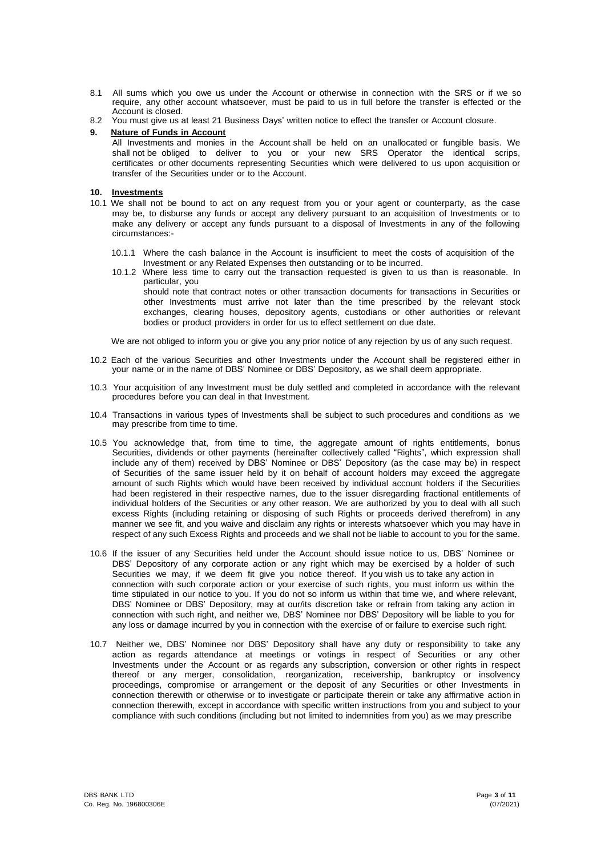- 8.1 All sums which you owe us under the Account or otherwise in connection with the SRS or if we so require, any other account whatsoever, must be paid to us in full before the transfer is effected or the Account is closed.
- 8.2 You must give us at least 21 Business Days' written notice to effect the transfer or Account closure.

# **9. Nature of Funds in Account**

All Investments and monies in the Account shall be held on an unallocated or fungible basis. We shall not be obliged to deliver to you or your new SRS Operator the identical scrips, certificates or other documents representing Securities which were delivered to us upon acquisition or transfer of the Securities under or to the Account.

#### **10. Investments**

- 10.1 We shall not be bound to act on any request from you or your agent or counterparty, as the case may be, to disburse any funds or accept any delivery pursuant to an acquisition of Investments or to make any delivery or accept any funds pursuant to a disposal of Investments in any of the following circumstances:-
	- 10.1.1 Where the cash balance in the Account is insufficient to meet the costs of acquisition of the Investment or any Related Expenses then outstanding or to be incurred.
	- 10.1.2 Where less time to carry out the transaction requested is given to us than is reasonable. In particular, you should note that contract notes or other transaction documents for transactions in Securities or other Investments must arrive not later than the time prescribed by the relevant stock exchanges, clearing houses, depository agents, custodians or other authorities or relevant bodies or product providers in order for us to effect settlement on due date.

We are not obliged to inform you or give you any prior notice of any rejection by us of any such request.

- 10.2 Each of the various Securities and other Investments under the Account shall be registered either in your name or in the name of DBS' Nominee or DBS' Depository, as we shall deem appropriate.
- 10.3 Your acquisition of any Investment must be duly settled and completed in accordance with the relevant procedures before you can deal in that Investment.
- 10.4 Transactions in various types of Investments shall be subject to such procedures and conditions as we may prescribe from time to time.
- 10.5 You acknowledge that, from time to time, the aggregate amount of rights entitlements, bonus Securities, dividends or other payments (hereinafter collectively called "Rights", which expression shall include any of them) received by DBS' Nominee or DBS' Depository (as the case may be) in respect of Securities of the same issuer held by it on behalf of account holders may exceed the aggregate amount of such Rights which would have been received by individual account holders if the Securities had been registered in their respective names, due to the issuer disregarding fractional entitlements of individual holders of the Securities or any other reason. We are authorized by you to deal with all such excess Rights (including retaining or disposing of such Rights or proceeds derived therefrom) in any manner we see fit, and you waive and disclaim any rights or interests whatsoever which you may have in respect of any such Excess Rights and proceeds and we shall not be liable to account to you for the same.
- 10.6 If the issuer of any Securities held under the Account should issue notice to us, DBS' Nominee or DBS' Depository of any corporate action or any right which may be exercised by a holder of such Securities we may, if we deem fit give you notice thereof. If you wish us to take any action in connection with such corporate action or your exercise of such rights, you must inform us within the time stipulated in our notice to you. If you do not so inform us within that time we, and where relevant, DBS' Nominee or DBS' Depository, may at our/its discretion take or refrain from taking any action in connection with such right, and neither we, DBS' Nominee nor DBS' Depository will be liable to you for any loss or damage incurred by you in connection with the exercise of or failure to exercise such right.
- 10.7 Neither we, DBS' Nominee nor DBS' Depository shall have any duty or responsibility to take any action as regards attendance at meetings or votings in respect of Securities or any other Investments under the Account or as regards any subscription, conversion or other rights in respect thereof or any merger, consolidation, reorganization, receivership, bankruptcy or insolvency proceedings, compromise or arrangement or the deposit of any Securities or other Investments in connection therewith or otherwise or to investigate or participate therein or take any affirmative action in connection therewith, except in accordance with specific written instructions from you and subject to your compliance with such conditions (including but not limited to indemnities from you) as we may prescribe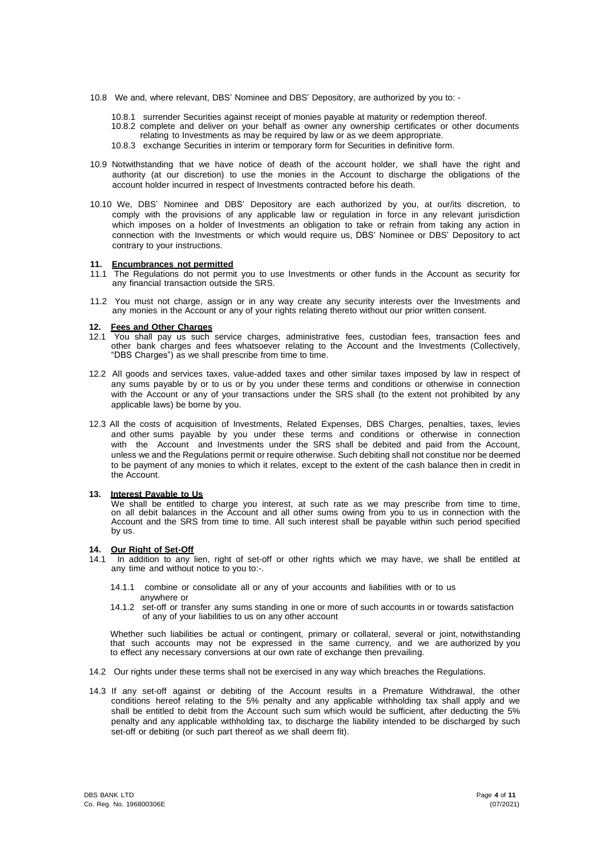- 10.8 We and, where relevant, DBS' Nominee and DBS' Depository, are authorized by you to:
	- 10.8.1 surrender Securities against receipt of monies payable at maturity or redemption thereof.
	- 10.8.2 complete and deliver on your behalf as owner any ownership certificates or other documents relating to Investments as may be required by law or as we deem appropriate.
	- 10.8.3 exchange Securities in interim or temporary form for Securities in definitive form.
- 10.9 Notwithstanding that we have notice of death of the account holder, we shall have the right and authority (at our discretion) to use the monies in the Account to discharge the obligations of the account holder incurred in respect of Investments contracted before his death.
- 10.10 We, DBS' Nominee and DBS' Depository are each authorized by you, at our/its discretion, to comply with the provisions of any applicable law or regulation in force in any relevant jurisdiction which imposes on a holder of Investments an obligation to take or refrain from taking any action in connection with the Investments or which would require us, DBS' Nominee or DBS' Depository to act contrary to your instructions.

#### **11. Encumbrances not permitted**

- 11.1 The Regulations do not permit you to use Investments or other funds in the Account as security for any financial transaction outside the SRS.
- 11.2 You must not charge, assign or in any way create any security interests over the Investments and any monies in the Account or any of your rights relating thereto without our prior written consent.

#### **12. Fees and Other Charges**

- 12.1 You shall pay us such service charges, administrative fees, custodian fees, transaction fees and other bank charges and fees whatsoever relating to the Account and the Investments (Collectively, "DBS Charges") as we shall prescribe from time to time.
- 12.2 All goods and services taxes, value-added taxes and other similar taxes imposed by law in respect of any sums payable by or to us or by you under these terms and conditions or otherwise in connection with the Account or any of your transactions under the SRS shall (to the extent not prohibited by any applicable laws) be borne by you.
- 12.3 All the costs of acquisition of Investments, Related Expenses, DBS Charges, penalties, taxes, levies and other sums payable by you under these terms and conditions or otherwise in connection with the Account and Investments under the SRS shall be debited and paid from the Account, unless we and the Regulations permit or require otherwise. Such debiting shall not constitue nor be deemed to be payment of any monies to which it relates, except to the extent of the cash balance then in credit in the Account.

#### **13. Interest Payable to Us**

We shall be entitled to charge you interest, at such rate as we may prescribe from time to time, on all debit balances in the Account and all other sums owing from you to us in connection with the Account and the SRS from time to time. All such interest shall be payable within such period specified by us.

## **14. Our Right of Set-Off**

- 14.1 In addition to any lien, right of set-off or other rights which we may have, we shall be entitled at any time and without notice to you to:-.
	- 14.1.1 combine or consolidate all or any of your accounts and liabilities with or to us anywhere or
	- 14.1.2 set-off or transfer any sums standing in one or more of such accounts in or towards satisfaction of any of your liabilities to us on any other account

Whether such liabilities be actual or contingent, primary or collateral, several or joint, notwithstanding that such accounts may not be expressed in the same currency, and we are authorized by you to effect any necessary conversions at our own rate of exchange then prevailing.

- 14.2 Our rights under these terms shall not be exercised in any way which breaches the Regulations.
- 14.3 If any set-off against or debiting of the Account results in a Premature Withdrawal, the other conditions hereof relating to the 5% penalty and any applicable withholding tax shall apply and we shall be entitled to debit from the Account such sum which would be sufficient, after deducting the 5% penalty and any applicable withholding tax, to discharge the liability intended to be discharged by such set-off or debiting (or such part thereof as we shall deem fit).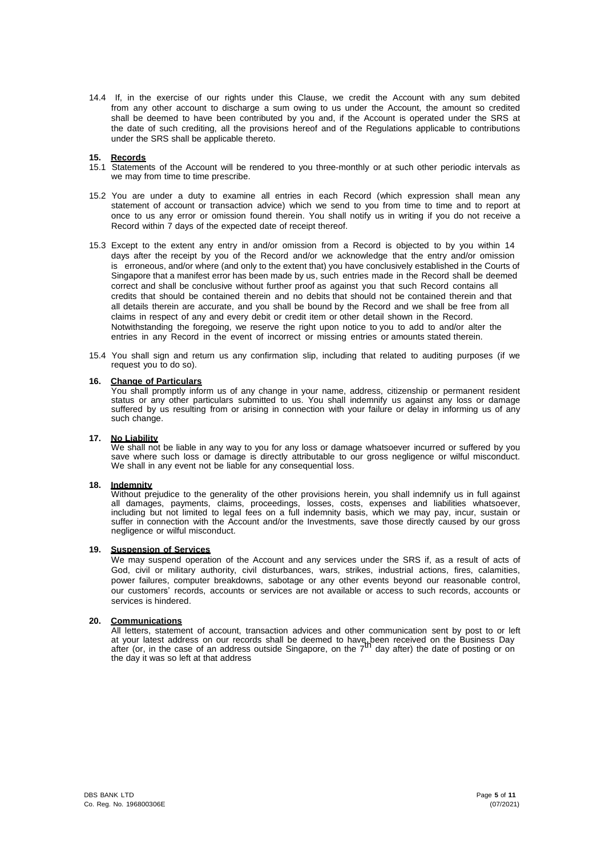14.4 If, in the exercise of our rights under this Clause, we credit the Account with any sum debited from any other account to discharge a sum owing to us under the Account, the amount so credited shall be deemed to have been contributed by you and, if the Account is operated under the SRS at the date of such crediting, all the provisions hereof and of the Regulations applicable to contributions under the SRS shall be applicable thereto.

#### **15. Records**

- 15.1 Statements of the Account will be rendered to you three-monthly or at such other periodic intervals as we may from time to time prescribe.
- 15.2 You are under a duty to examine all entries in each Record (which expression shall mean any statement of account or transaction advice) which we send to you from time to time and to report at once to us any error or omission found therein. You shall notify us in writing if you do not receive a Record within 7 days of the expected date of receipt thereof.
- 15.3 Except to the extent any entry in and/or omission from a Record is objected to by you within 14 days after the receipt by you of the Record and/or we acknowledge that the entry and/or omission is erroneous, and/or where (and only to the extent that) you have conclusively established in the Courts of Singapore that a manifest error has been made by us, such entries made in the Record shall be deemed correct and shall be conclusive without further proof as against you that such Record contains all credits that should be contained therein and no debits that should not be contained therein and that all details therein are accurate, and you shall be bound by the Record and we shall be free from all claims in respect of any and every debit or credit item or other detail shown in the Record. Notwithstanding the foregoing, we reserve the right upon notice to you to add to and/or alter the entries in any Record in the event of incorrect or missing entries or amounts stated therein.
- 15.4 You shall sign and return us any confirmation slip, including that related to auditing purposes (if we request you to do so).

#### **16. Change of Particulars**

You shall promptly inform us of any change in your name, address, citizenship or permanent resident status or any other particulars submitted to us. You shall indemnify us against any loss or damage suffered by us resulting from or arising in connection with your failure or delay in informing us of any such change.

## **17. No Liability**

We shall not be liable in any way to you for any loss or damage whatsoever incurred or suffered by you save where such loss or damage is directly attributable to our gross negligence or wilful misconduct. We shall in any event not be liable for any consequential loss.

## **18. Indemnity**

Without prejudice to the generality of the other provisions herein, you shall indemnify us in full against all damages, payments, claims, proceedings, losses, costs, expenses and liabilities whatsoever, including but not limited to legal fees on a full indemnity basis, which we may pay, incur, sustain or suffer in connection with the Account and/or the Investments, save those directly caused by our gross negligence or wilful misconduct.

## **19. Suspension of Services**

We may suspend operation of the Account and any services under the SRS if, as a result of acts of God, civil or military authority, civil disturbances, wars, strikes, industrial actions, fires, calamities, power failures, computer breakdowns, sabotage or any other events beyond our reasonable control, our customers' records, accounts or services are not available or access to such records, accounts or services is hindered.

#### **20. Communications**

All letters, statement of account, transaction advices and other communication sent by post to or left at your latest address on our records shall be deemed to have been received on the Business Day after (or, in the case of an address outside Singapore, on the  $7<sup>th</sup>$  day after) the date of posting or on after (or, in the case of an address outside Singapore, on the  $7<sup>th</sup>$  day after) the date of posting or on the day it was so left at that address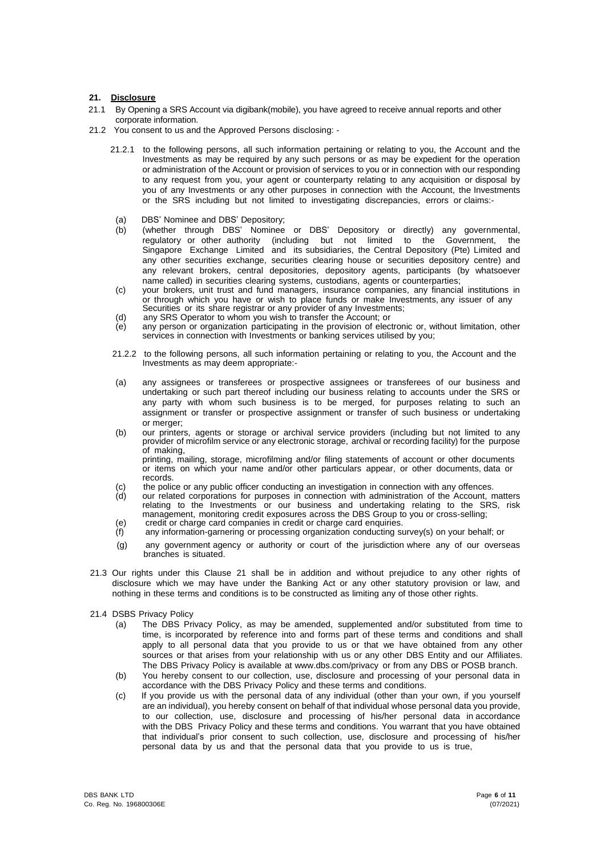## **21. Disclosure**

- 21.1 By Opening a SRS Account via digibank(mobile), you have agreed to receive annual reports and other corporate information.
- 21.2 You consent to us and the Approved Persons disclosing:
	- 21.2.1 to the following persons, all such information pertaining or relating to you, the Account and the Investments as may be required by any such persons or as may be expedient for the operation or administration of the Account or provision of services to you or in connection with our responding to any request from you, your agent or counterparty relating to any acquisition or disposal by you of any Investments or any other purposes in connection with the Account, the Investments or the SRS including but not limited to investigating discrepancies, errors or claims:-
		- (a) DBS' Nominee and DBS' Depository;
	- (b) (whether through DBS' Nominee or DBS' Depository or directly) any governmental, regulatory or other authority (including but not limited to the Government, the Singapore Exchange Limited and its subsidiaries, the Central Depository (Pte) Limited and any other securities exchange, securities clearing house or securities depository centre) and any relevant brokers, central depositories, depository agents, participants (by whatsoever name called) in securities clearing systems, custodians, agents or counterparties;
	- (c) your brokers, unit trust and fund managers, insurance companies, any financial institutions in or through which you have or wish to place funds or make Investments, any issuer of any Securities or its share registrar or any provider of any Investments;
	- (d) any SRS Operator to whom you wish to transfer the Account; or
	- (e) any person or organization participating in the provision of electronic or, without limitation, other services in connection with Investments or banking services utilised by you;
	- 21.2.2 to the following persons, all such information pertaining or relating to you, the Account and the Investments as may deem appropriate:-
	- (a) any assignees or transferees or prospective assignees or transferees of our business and undertaking or such part thereof including our business relating to accounts under the SRS or any party with whom such business is to be merged, for purposes relating to such an assignment or transfer or prospective assignment or transfer of such business or undertaking or merger;
	- (b) our printers, agents or storage or archival service providers (including but not limited to any provider of microfilm service or any electronic storage, archival or recording facility) for the purpose of making, printing, mailing, storage, microfilming and/or filing statements of account or other documents
	- or items on which your name and/or other particulars appear, or other documents, data or records.
	- (c) the police or any public officer conducting an investigation in connection with any offences.<br>(d) our related corporations for purposes in connection with administration of the Account, no
	- our related corporations for purposes in connection with administration of the Account, matters relating to the Investments or our business and undertaking relating to the SRS, risk management, monitoring credit exposures across the DBS Group to you or cross-selling;
	- (e) credit or charge card companies in credit or charge card enquiries. any information-garnering or processing organization conducting survey(s) on your behalf; or
	- (g) any government agency or authority or court of the jurisdiction where any of our overseas branches is situated.
- 21.3 Our rights under this Clause 21 shall be in addition and without prejudice to any other rights of disclosure which we may have under the Banking Act or any other statutory provision or law, and nothing in these terms and conditions is to be constructed as limiting any of those other rights.
- 21.4 DSBS Privacy Policy
	- (a) The DBS Privacy Policy, as may be amended, supplemented and/or substituted from time to time, is incorporated by reference into and forms part of these terms and conditions and shall apply to all personal data that you provide to us or that we have obtained from any other sources or that arises from your relationship with us or any other DBS Entity and our Affiliates. The DBS Privacy Policy is available at [www.dbs.com/privacy](http://www.dbs.com/privacy) or from any DBS or POSB branch.
	- (b) You hereby consent to our collection, use, disclosure and processing of your personal data in accordance with the DBS Privacy Policy and these terms and conditions.
	- (c) If you provide us with the personal data of any individual (other than your own, if you yourself are an individual), you hereby consent on behalf of that individual whose personal data you provide, to our collection, use, disclosure and processing of his/her personal data in accordance with the DBS Privacy Policy and these terms and conditions. You warrant that you have obtained that individual's prior consent to such collection, use, disclosure and processing of his/her personal data by us and that the personal data that you provide to us is true,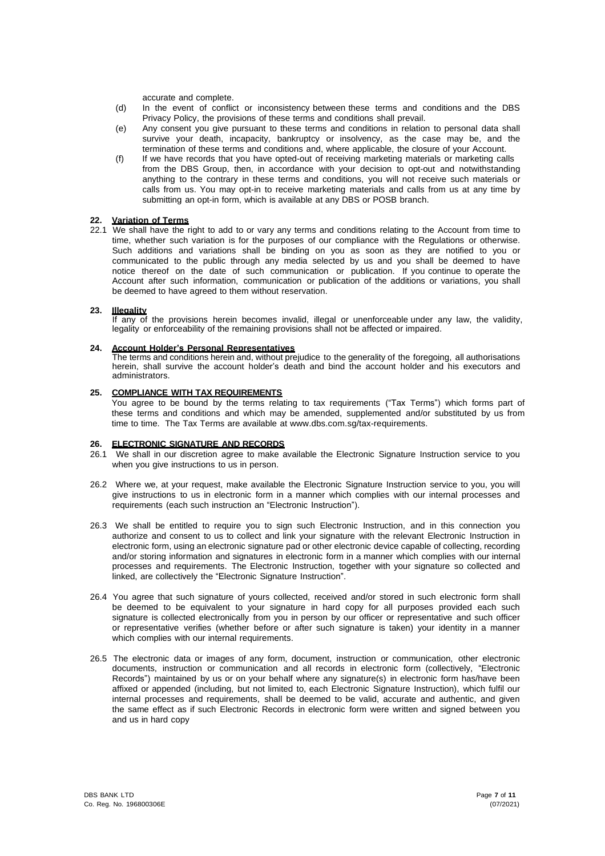accurate and complete.

- (d) In the event of conflict or inconsistency between these terms and conditions and the DBS Privacy Policy, the provisions of these terms and conditions shall prevail.
- (e) Any consent you give pursuant to these terms and conditions in relation to personal data shall survive your death, incapacity, bankruptcy or insolvency, as the case may be, and the termination of these terms and conditions and, where applicable, the closure of your Account.
- (f) If we have records that you have opted-out of receiving marketing materials or marketing calls from the DBS Group, then, in accordance with your decision to opt-out and notwithstanding anything to the contrary in these terms and conditions, you will not receive such materials or calls from us. You may opt-in to receive marketing materials and calls from us at any time by submitting an opt-in form, which is available at any DBS or POSB branch.

## **22. Variation of Terms**

22.1 We shall have the right to add to or vary any terms and conditions relating to the Account from time to time, whether such variation is for the purposes of our compliance with the Regulations or otherwise. Such additions and variations shall be binding on you as soon as they are notified to you or communicated to the public through any media selected by us and you shall be deemed to have notice thereof on the date of such communication or publication. If you continue to operate the Account after such information, communication or publication of the additions or variations, you shall be deemed to have agreed to them without reservation.

## **23. Illegality**

If any of the provisions herein becomes invalid, illegal or unenforceable under any law, the validity, legality or enforceability of the remaining provisions shall not be affected or impaired.

## **24. Account Holder's Personal Representatives**

The terms and conditions herein and, without prejudice to the generality of the foregoing, all authorisations herein, shall survive the account holder's death and bind the account holder and his executors and administrators.

## **25. COMPLIANCE WITH TAX REQUIREMENTS**

You agree to be bound by the terms relating to tax requirements ("Tax Terms") which forms part of these terms and conditions and which may be amended, supplemented and/or substituted by us from time to time. The Tax Terms are available at [www.dbs.com.sg/tax-requirements.](http://www.dbs.com.sg/tax-requirements)

## **26. ELECTRONIC SIGNATURE AND RECORDS**

- 26.1 We shall in our discretion agree to make available the Electronic Signature Instruction service to you when you give instructions to us in person.
- 26.2 Where we, at your request, make available the Electronic Signature Instruction service to you, you will give instructions to us in electronic form in a manner which complies with our internal processes and requirements (each such instruction an "Electronic Instruction").
- 26.3 We shall be entitled to require you to sign such Electronic Instruction, and in this connection you authorize and consent to us to collect and link your signature with the relevant Electronic Instruction in electronic form, using an electronic signature pad or other electronic device capable of collecting, recording and/or storing information and signatures in electronic form in a manner which complies with our internal processes and requirements. The Electronic Instruction, together with your signature so collected and linked, are collectively the "Electronic Signature Instruction".
- 26.4 You agree that such signature of yours collected, received and/or stored in such electronic form shall be deemed to be equivalent to your signature in hard copy for all purposes provided each such signature is collected electronically from you in person by our officer or representative and such officer or representative verifies (whether before or after such signature is taken) your identity in a manner which complies with our internal requirements.
- 26.5 The electronic data or images of any form, document, instruction or communication, other electronic documents, instruction or communication and all records in electronic form (collectively, "Electronic Records") maintained by us or on your behalf where any signature(s) in electronic form has/have been affixed or appended (including, but not limited to, each Electronic Signature Instruction), which fulfil our internal processes and requirements, shall be deemed to be valid, accurate and authentic, and given the same effect as if such Electronic Records in electronic form were written and signed between you and us in hard copy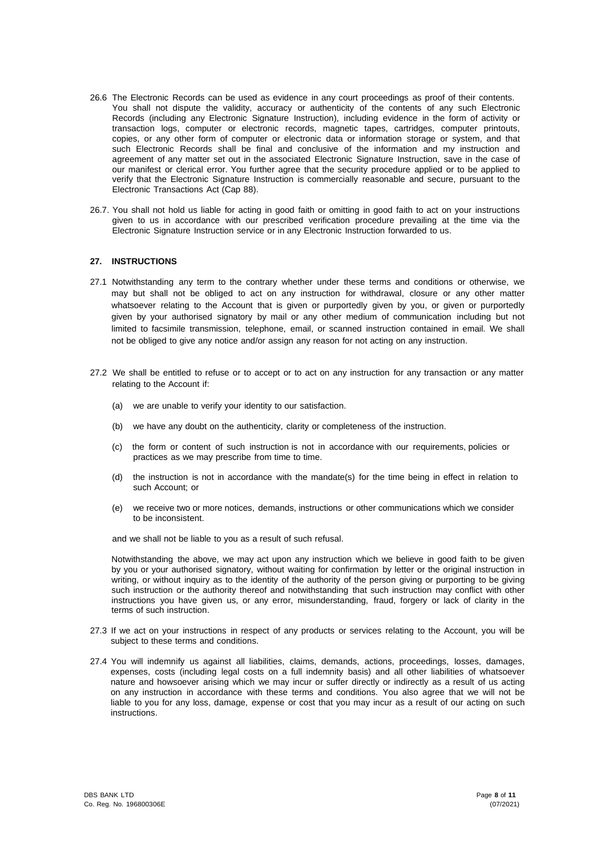- 26.6 The Electronic Records can be used as evidence in any court proceedings as proof of their contents. You shall not dispute the validity, accuracy or authenticity of the contents of any such Electronic Records (including any Electronic Signature Instruction), including evidence in the form of activity or transaction logs, computer or electronic records, magnetic tapes, cartridges, computer printouts, copies, or any other form of computer or electronic data or information storage or system, and that such Electronic Records shall be final and conclusive of the information and my instruction and agreement of any matter set out in the associated Electronic Signature Instruction, save in the case of our manifest or clerical error. You further agree that the security procedure applied or to be applied to verify that the Electronic Signature Instruction is commercially reasonable and secure, pursuant to the Electronic Transactions Act (Cap 88).
- 26.7. You shall not hold us liable for acting in good faith or omitting in good faith to act on your instructions given to us in accordance with our prescribed verification procedure prevailing at the time via the Electronic Signature Instruction service or in any Electronic Instruction forwarded to us.

## **27. INSTRUCTIONS**

- 27.1 Notwithstanding any term to the contrary whether under these terms and conditions or otherwise, we may but shall not be obliged to act on any instruction for withdrawal, closure or any other matter whatsoever relating to the Account that is given or purportedly given by you, or given or purportedly given by your authorised signatory by mail or any other medium of communication including but not limited to facsimile transmission, telephone, email, or scanned instruction contained in email. We shall not be obliged to give any notice and/or assign any reason for not acting on any instruction.
- 27.2 We shall be entitled to refuse or to accept or to act on any instruction for any transaction or any matter relating to the Account if:
	- (a) we are unable to verify your identity to our satisfaction.
	- (b) we have any doubt on the authenticity, clarity or completeness of the instruction.
	- (c) the form or content of such instruction is not in accordance with our requirements, policies or practices as we may prescribe from time to time.
	- (d) the instruction is not in accordance with the mandate(s) for the time being in effect in relation to such Account; or
	- (e) we receive two or more notices, demands, instructions or other communications which we consider to be inconsistent.

and we shall not be liable to you as a result of such refusal.

Notwithstanding the above, we may act upon any instruction which we believe in good faith to be given by you or your authorised signatory, without waiting for confirmation by letter or the original instruction in writing, or without inquiry as to the identity of the authority of the person giving or purporting to be giving such instruction or the authority thereof and notwithstanding that such instruction may conflict with other instructions you have given us, or any error, misunderstanding, fraud, forgery or lack of clarity in the terms of such instruction.

- 27.3 If we act on your instructions in respect of any products or services relating to the Account, you will be subject to these terms and conditions.
- 27.4 You will indemnify us against all liabilities, claims, demands, actions, proceedings, losses, damages, expenses, costs (including legal costs on a full indemnity basis) and all other liabilities of whatsoever nature and howsoever arising which we may incur or suffer directly or indirectly as a result of us acting on any instruction in accordance with these terms and conditions. You also agree that we will not be liable to you for any loss, damage, expense or cost that you may incur as a result of our acting on such instructions.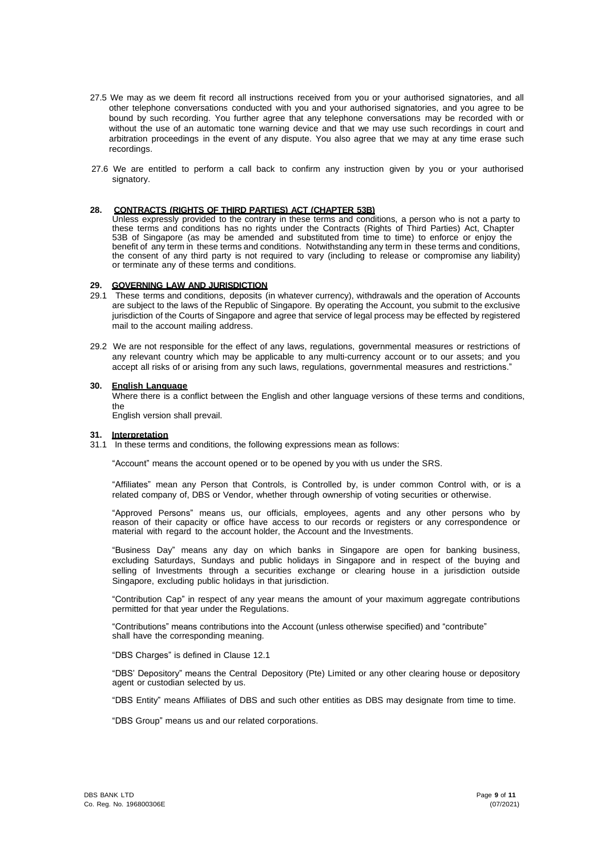- 27.5 We may as we deem fit record all instructions received from you or your authorised signatories, and all other telephone conversations conducted with you and your authorised signatories, and you agree to be bound by such recording. You further agree that any telephone conversations may be recorded with or without the use of an automatic tone warning device and that we may use such recordings in court and arbitration proceedings in the event of any dispute. You also agree that we may at any time erase such recordings.
- 27.6 We are entitled to perform a call back to confirm any instruction given by you or your authorised signatory.

#### **28. CONTRACTS (RIGHTS OF THIRD PARTIES) ACT (CHAPTER 53B)**

Unless expressly provided to the contrary in these terms and conditions, a person who is not a party to these terms and conditions has no rights under the Contracts (Rights of Third Parties) Act, Chapter 53B of Singapore (as may be amended and substituted from time to time) to enforce or enjoy the benefit of any term in these terms and conditions. Notwithstanding any term in these terms and conditions, the consent of any third party is not required to vary (including to release or compromise any liability) or terminate any of these terms and conditions.

#### **29. GOVERNING LAW AND JURISDICTION**

- 29.1 These terms and conditions, deposits (in whatever currency), withdrawals and the operation of Accounts are subject to the laws of the Republic of Singapore. By operating the Account, you submit to the exclusive jurisdiction of the Courts of Singapore and agree that service of legal process may be effected by registered mail to the account mailing address.
- 29.2 We are not responsible for the effect of any laws, regulations, governmental measures or restrictions of any relevant country which may be applicable to any multi-currency account or to our assets; and you accept all risks of or arising from any such laws, regulations, governmental measures and restrictions."

## **30. English Language**

Where there is a conflict between the English and other language versions of these terms and conditions, the

English version shall prevail.

#### **31. Interpretation**

31.1 In these terms and conditions, the following expressions mean as follows:

"Account" means the account opened or to be opened by you with us under the SRS.

"Affiliates" mean any Person that Controls, is Controlled by, is under common Control with, or is a related company of, DBS or Vendor, whether through ownership of voting securities or otherwise.

"Approved Persons" means us, our officials, employees, agents and any other persons who by reason of their capacity or office have access to our records or registers or any correspondence or material with regard to the account holder, the Account and the Investments.

"Business Day" means any day on which banks in Singapore are open for banking business, excluding Saturdays, Sundays and public holidays in Singapore and in respect of the buying and selling of Investments through a securities exchange or clearing house in a jurisdiction outside Singapore, excluding public holidays in that jurisdiction.

"Contribution Cap" in respect of any year means the amount of your maximum aggregate contributions permitted for that year under the Regulations.

"Contributions" means contributions into the Account (unless otherwise specified) and "contribute" shall have the corresponding meaning.

"DBS Charges" is defined in Clause 12.1

"DBS' Depository" means the Central Depository (Pte) Limited or any other clearing house or depository agent or custodian selected by us.

"DBS Entity" means Affiliates of DBS and such other entities as DBS may designate from time to time.

"DBS Group" means us and our related corporations.